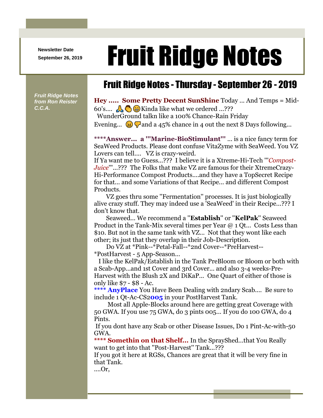**Newsletter Date**

## Newsletter Date **Fruit Ridge Notes**

*Fruit Ridge Notes from Ron Reister C.C.A.*

## Fruit Ridge Notes - Thursday - September 26 - 2019

**Hey ..... Some Pretty Decent SunShine** Today ... And Temps = Mid-60's....  $\mathbb{A}$   $\otimes$   $\mathbb{B}$  Kinda like what we ordered ...??? WunderGround talkn like a 100% Chance-Rain Friday

Evening...  $\circled{3}$   $\circled{7}$  and a 45% chance in 4 out the next 8 Days following...

**\*\*\*\*Answer... a '''Marine-BioStimulant'''** ... is a nice fancy term for SeaWeed Products. Please dont confuse VitaZyme with SeaWeed. You VZ Lovers can tell.... VZ is crazy-weird.

If Ya want me to Guess...??? I believe it is a Xtreme-Hi-Tech '''*Compost-Juice*'''...??? The Folks that make VZ are famous for their XtremeCrazy-Hi-Performance Compost Products....and they have a TopSecret Recipe for that... and some Variations of that Recipe... and different Compost Products.

VZ goes thru some ''Fermentation'' processes. It is just biologically alive crazy stuff. They may indeed use a 'SeaWeed' in their Recipe...??? I don't know that.

Seaweed... We recommend a ''**Establish**'' or ''**KelPak**'' Seaweed Product in the Tank-Mix several times per Year @ 1 Qt... Costs Less than \$10. But not in the same tank with VZ... Not that they wont like each other; its just that they overlap in their Job-Description.

Do VZ at \*Pink--\*Petal-Fall--\*2nd Cover--\*PreHarvest-- \*PostHarvest - 5 App-Season...

I like the KelPak/Establish in the Tank PreBloom or Bloom or both with a Scab-App...and 1st Cover and 3rd Cover... and also 3-4 weeks-Pre-Harvest with the Blush 2X and DiKaP... One Quart of either of those is only like \$7 - \$8 - Ac.

**\*\*\*\* AnyPlace** You Have Been Dealing with 2ndary Scab.... Be sure to include 1 Qt-Ac-CS2**005** in your PostHarvest Tank.

Most all Apple-Blocks around here are getting great Coverage with 50 GWA. If you use 75 GWA, do 3 pints 005... If you do 100 GWA, do 4 Pints.

If you dont have any Scab or other Disease Issues, Do 1 Pint-Ac-with-50 GWA.

**\*\*\*\* Somethin on that Shelf...** In the SprayShed...that You Really want to get into that ''Post-Harvest'' Tank...???

If you got it here at RGSs, Chances are great that it will be very fine in that Tank.

....Or,